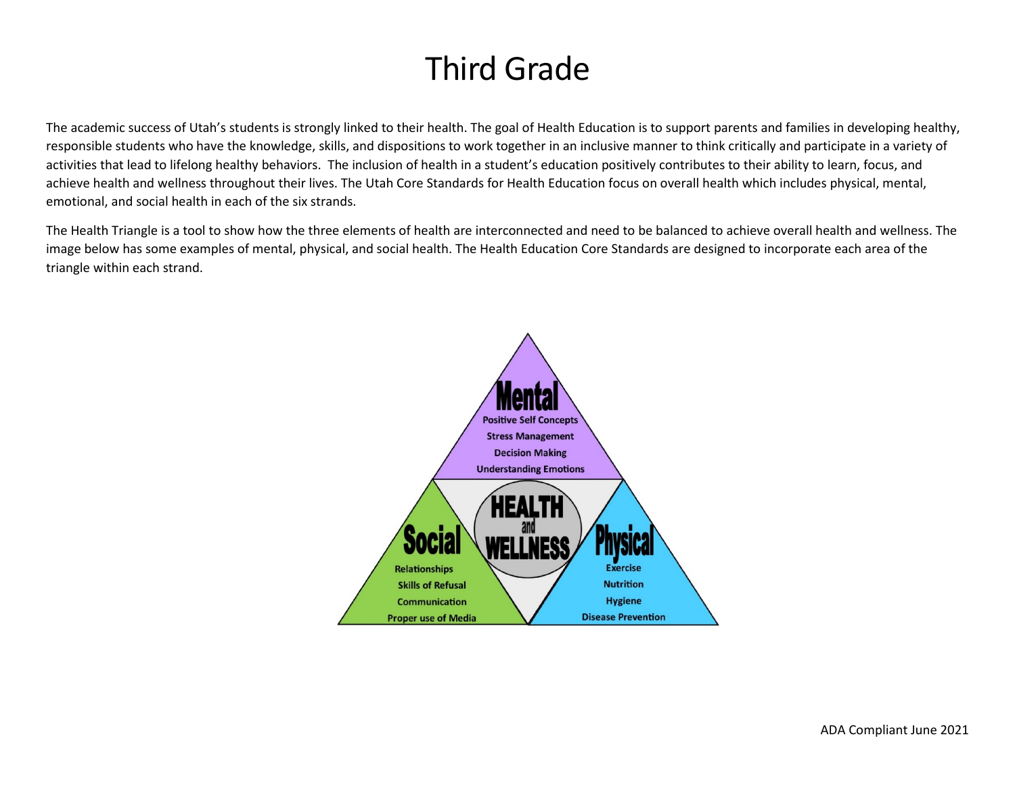# Third Grade

The academic success of Utah's students is strongly linked to their health. The goal of Health Education is to support parents and families in developing healthy, responsible students who have the knowledge, skills, and dispositions to work together in an inclusive manner to think critically and participate in a variety of activities that lead to lifelong healthy behaviors. The inclusion of health in a student's education positively contributes to their ability to learn, focus, and achieve health and wellness throughout their lives. The Utah Core Standards for Health Education focus on overall health which includes physical, mental, emotional, and social health in each of the six strands.

The Health Triangle is a tool to show how the three elements of health are interconnected and need to be balanced to achieve overall health and wellness. The image below has some examples of mental, physical, and social health. The Health Education Core Standards are designed to incorporate each area of the triangle within each strand.

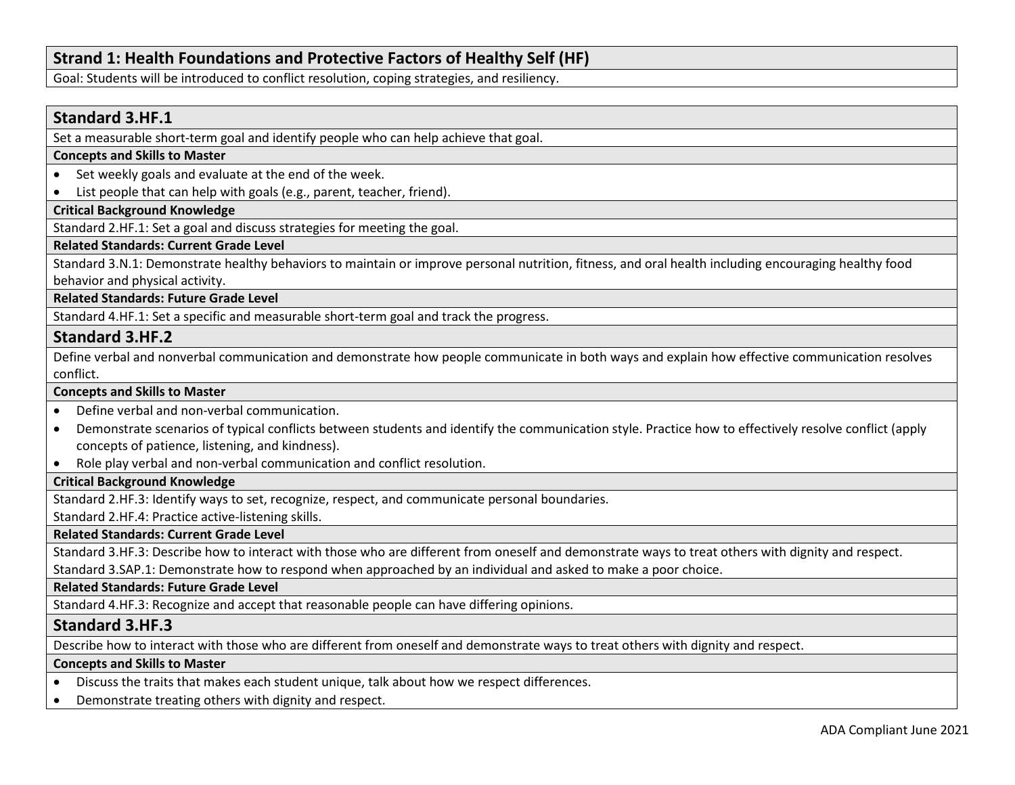# **Strand 1: Health Foundations and Protective Factors of Healthy Self (HF)**

Goal: Students will be introduced to conflict resolution, coping strategies, and resiliency.

# **Standard 3.HF.1**

Set a measurable short-term goal and identify people who can help achieve that goal.

### **Concepts and Skills to Master**

- Set weekly goals and evaluate at the end of the week.
- List people that can help with goals (e.g., parent, teacher, friend).

# **Critical Background Knowledge**

Standard 2.HF.1: Set a goal and discuss strategies for meeting the goal.

# **Related Standards: Current Grade Level**

Standard 3.N.1: Demonstrate healthy behaviors to maintain or improve personal nutrition, fitness, and oral health including encouraging healthy food behavior and physical activity.

**Related Standards: Future Grade Level** 

Standard 4.HF.1: Set a specific and measurable short-term goal and track the progress.

# **Standard 3.HF.2**

Define verbal and nonverbal communication and demonstrate how people communicate in both ways and explain how effective communication resolves conflict.

### **Concepts and Skills to Master**

- Define verbal and non-verbal communication.
- Demonstrate scenarios of typical conflicts between students and identify the communication style. Practice how to effectively resolve conflict (apply concepts of patience, listening, and kindness).
- Role play verbal and non-verbal communication and conflict resolution.

# **Critical Background Knowledge**

Standard 2.HF.3: Identify ways to set, recognize, respect, and communicate personal boundaries.

Standard 2.HF.4: Practice active-listening skills.

**Related Standards: Current Grade Level**

Standard 3.HF.3: Describe how to interact with those who are different from oneself and demonstrate ways to treat others with dignity and respect.

Standard 3.SAP.1: Demonstrate how to respond when approached by an individual and asked to make a poor choice.

**Related Standards: Future Grade Level** 

Standard 4.HF.3: Recognize and accept that reasonable people can have differing opinions.

# **Standard 3.HF.3**

Describe how to interact with those who are different from oneself and demonstrate ways to treat others with dignity and respect.

### **Concepts and Skills to Master**

- Discuss the traits that makes each student unique, talk about how we respect differences.
- Demonstrate treating others with dignity and respect.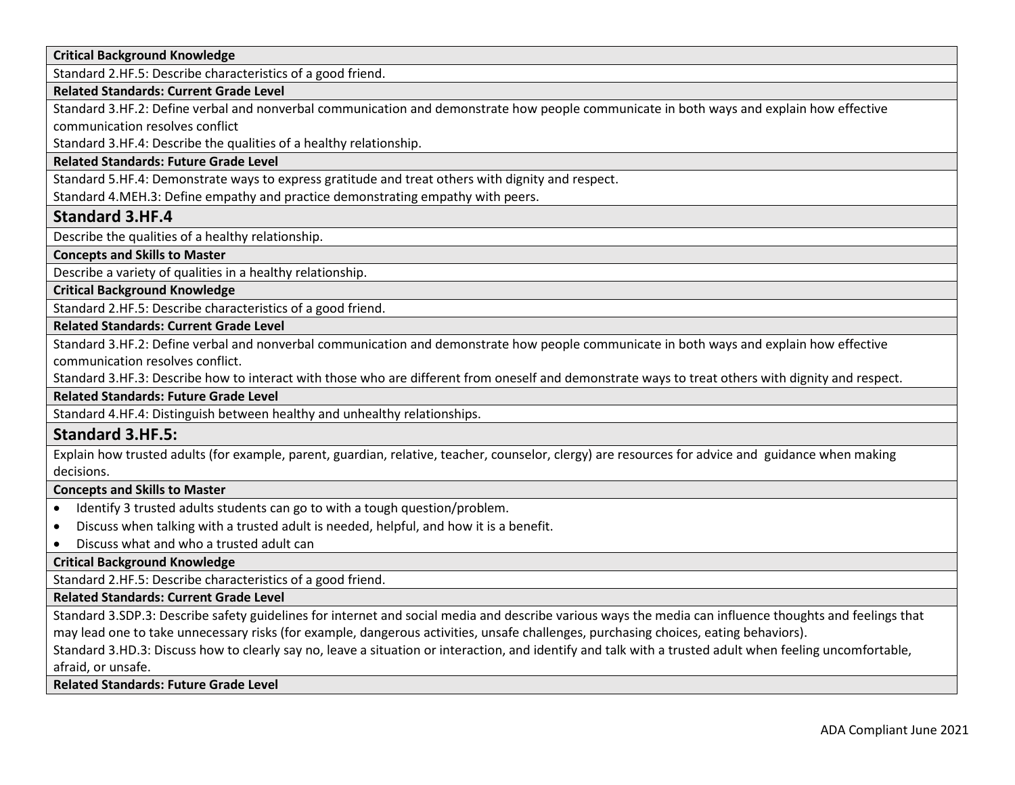**Critical Background Knowledge**

Standard 2.HF.5: Describe characteristics of a good friend.

### **Related Standards: Current Grade Level**

Standard 3.HF.2: Define verbal and nonverbal communication and demonstrate how people communicate in both ways and explain how effective communication resolves conflict

Standard 3.HF.4: Describe the qualities of a healthy relationship.

### **Related Standards: Future Grade Level**

Standard 5.HF.4: Demonstrate ways to express gratitude and treat others with dignity and respect.

Standard 4.MEH.3: Define empathy and practice demonstrating empathy with peers.

# **Standard 3.HF.4**

Describe the qualities of a healthy relationship.

**Concepts and Skills to Master** 

Describe a variety of qualities in a healthy relationship.

**Critical Background Knowledge**

Standard 2.HF.5: Describe characteristics of a good friend.

**Related Standards: Current Grade Level**

Standard 3.HF.2: Define verbal and nonverbal communication and demonstrate how people communicate in both ways and explain how effective communication resolves conflict.

Standard 3.HF.3: Describe how to interact with those who are different from oneself and demonstrate ways to treat others with dignity and respect.

**Related Standards: Future Grade Level** 

Standard 4.HF.4: Distinguish between healthy and unhealthy relationships.

# **Standard 3.HF.5:**

Explain how trusted adults (for example, parent, guardian, relative, teacher, counselor, clergy) are resources for advice and guidance when making decisions.

### **Concepts and Skills to Master**

- Identify 3 trusted adults students can go to with a tough question/problem.
- Discuss when talking with a trusted adult is needed, helpful, and how it is a benefit.
- Discuss what and who a trusted adult can

**Critical Background Knowledge**

Standard 2.HF.5: Describe characteristics of a good friend.

### **Related Standards: Current Grade Level**

Standard 3.SDP.3: Describe safety guidelines for internet and social media and describe various ways the media can influence thoughts and feelings that may lead one to take unnecessary risks (for example, dangerous activities, unsafe challenges, purchasing choices, eating behaviors).

Standard 3.HD.3: Discuss how to clearly say no, leave a situation or interaction, and identify and talk with a trusted adult when feeling uncomfortable, afraid, or unsafe.

**Related Standards: Future Grade Level**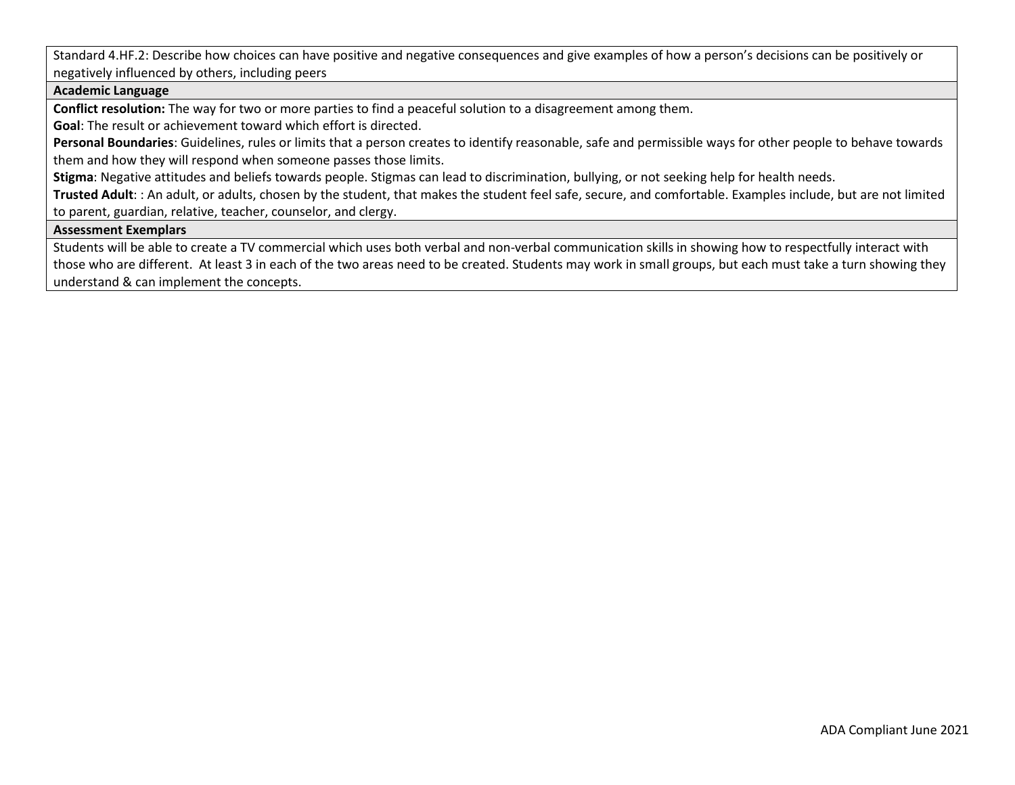Standard 4.HF.2: Describe how choices can have positive and negative consequences and give examples of how a person's decisions can be positively or negatively influenced by others, including peers

### **Academic Language**

**Conflict resolution:** The way for two or more parties to find a peaceful solution to a disagreement among them.

**Goal**: The result or achievement toward which effort is directed.

**Personal Boundaries**: Guidelines, rules or limits that a person creates to identify reasonable, safe and permissible ways for other people to behave towards them and how they will respond when someone passes those limits.

**Stigma**: Negative attitudes and beliefs towards people. Stigmas can lead to discrimination, bullying, or not seeking help for health needs.

**Trusted Adult**: : An adult, or adults, chosen by the student, that makes the student feel safe, secure, and comfortable. Examples include, but are not limited to parent, guardian, relative, teacher, counselor, and clergy.

### **Assessment Exemplars**

Students will be able to create a TV commercial which uses both verbal and non-verbal communication skills in showing how to respectfully interact with those who are different. At least 3 in each of the two areas need to be created. Students may work in small groups, but each must take a turn showing they understand & can implement the concepts.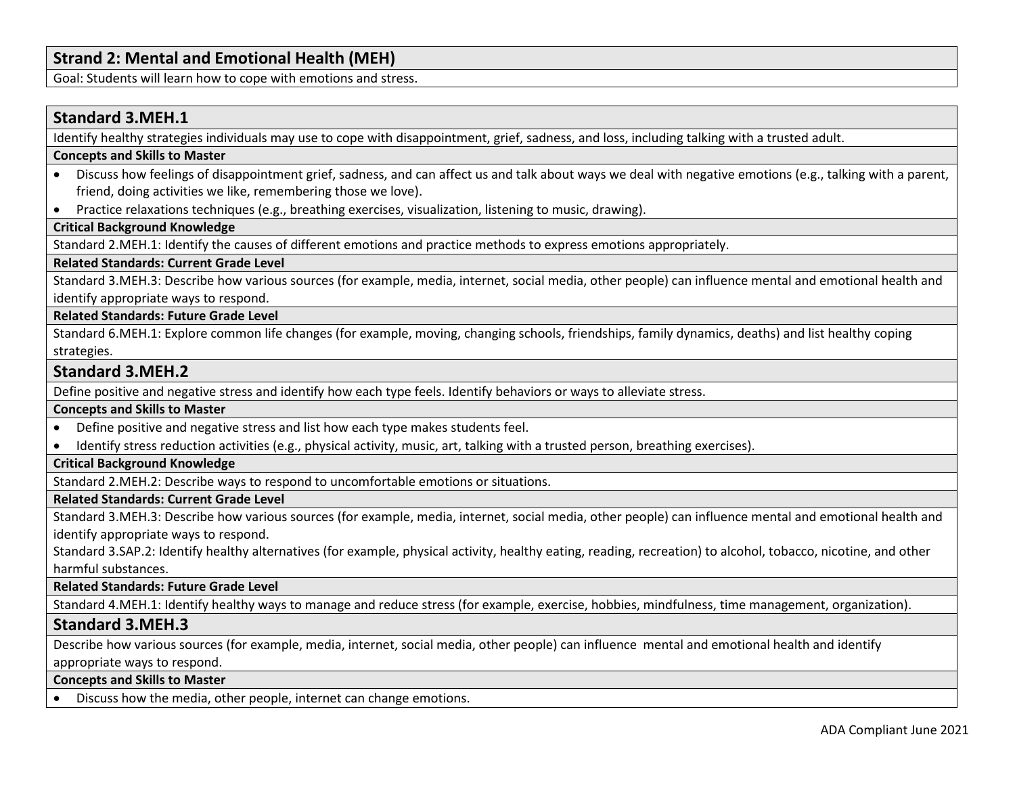# **Strand 2: Mental and Emotional Health (MEH)**

Goal: Students will learn how to cope with emotions and stress.

# **Standard 3.MEH.1**

Identify healthy strategies individuals may use to cope with disappointment, grief, sadness, and loss, including talking with a trusted adult.

### **Concepts and Skills to Master**

- Discuss how feelings of disappointment grief, sadness, and can affect us and talk about ways we deal with negative emotions (e.g., talking with a parent, friend, doing activities we like, remembering those we love).
- Practice relaxations techniques (e.g., breathing exercises, visualization, listening to music, drawing).

# **Critical Background Knowledge**

Standard 2.MEH.1: Identify the causes of different emotions and practice methods to express emotions appropriately.

### **Related Standards: Current Grade Level**

Standard 3.MEH.3: Describe how various sources (for example, media, internet, social media, other people) can influence mental and emotional health and identify appropriate ways to respond.

# **Related Standards: Future Grade Level**

Standard 6.MEH.1: Explore common life changes (for example, moving, changing schools, friendships, family dynamics, deaths) and list healthy coping strategies.

# **Standard 3.MEH.2**

Define positive and negative stress and identify how each type feels. Identify behaviors or ways to alleviate stress.

### **Concepts and Skills to Master**

- Define positive and negative stress and list how each type makes students feel.
- Identify stress reduction activities (e.g., physical activity, music, art, talking with a trusted person, breathing exercises).

# **Critical Background Knowledge**

Standard 2.MEH.2: Describe ways to respond to uncomfortable emotions or situations.

### **Related Standards: Current Grade Level**

Standard 3.MEH.3: Describe how various sources (for example, media, internet, social media, other people) can influence mental and emotional health and identify appropriate ways to respond.

Standard 3.SAP.2: Identify healthy alternatives (for example, physical activity, healthy eating, reading, recreation) to alcohol, tobacco, nicotine, and other harmful substances.

### **Related Standards: Future Grade Level**

Standard 4.MEH.1: Identify healthy ways to manage and reduce stress (for example, exercise, hobbies, mindfulness, time management, organization).

# **Standard 3.MEH.3**

Describe how various sources (for example, media, internet, social media, other people) can influence mental and emotional health and identify appropriate ways to respond.

### **Concepts and Skills to Master**

• Discuss how the media, other people, internet can change emotions.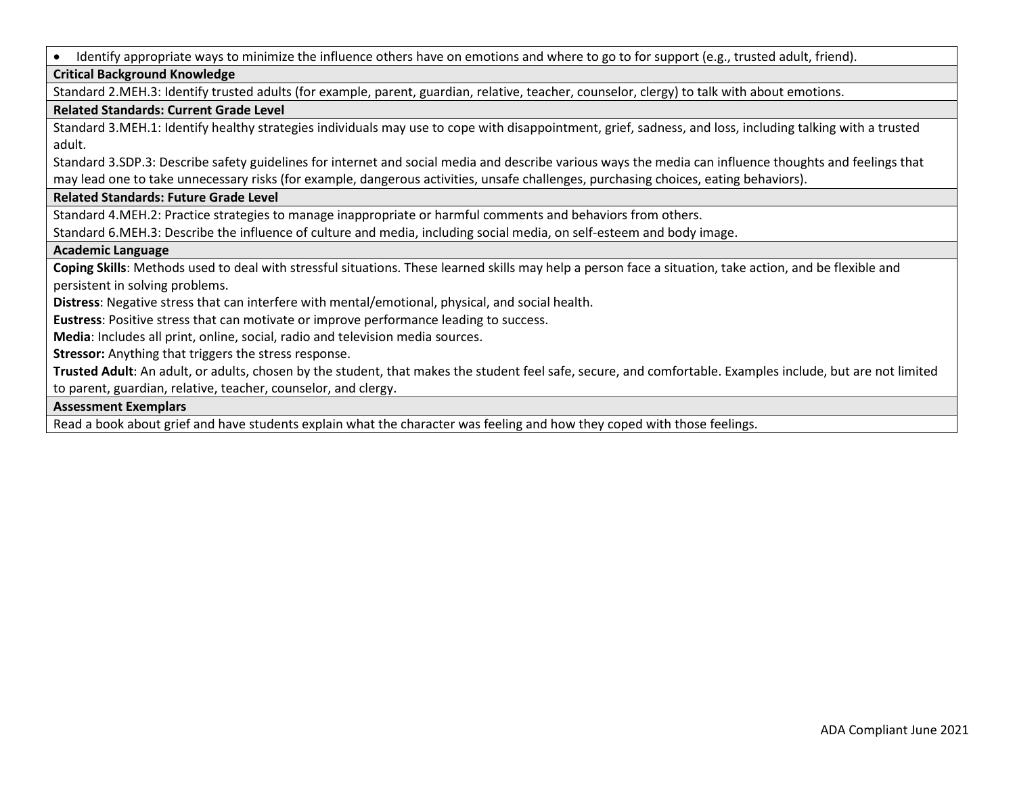• Identify appropriate ways to minimize the influence others have on emotions and where to go to for support (e.g., trusted adult, friend).

# **Critical Background Knowledge**

Standard 2.MEH.3: Identify trusted adults (for example, parent, guardian, relative, teacher, counselor, clergy) to talk with about emotions.

### **Related Standards: Current Grade Level**

Standard 3.MEH.1: Identify healthy strategies individuals may use to cope with disappointment, grief, sadness, and loss, including talking with a trusted adult.

Standard 3.SDP.3: Describe safety guidelines for internet and social media and describe various ways the media can influence thoughts and feelings that may lead one to take unnecessary risks (for example, dangerous activities, unsafe challenges, purchasing choices, eating behaviors).

### **Related Standards: Future Grade Level**

Standard 4.MEH.2: Practice strategies to manage inappropriate or harmful comments and behaviors from others.

Standard 6.MEH.3: Describe the influence of culture and media, including social media, on self-esteem and body image.

### **Academic Language**

**Coping Skills**: Methods used to deal with stressful situations. These learned skills may help a person face a situation, take action, and be flexible and persistent in solving problems.

**Distress**: Negative stress that can interfere with mental/emotional, physical, and social health.

**Eustress**: Positive stress that can motivate or improve performance leading to success.

**Media**: Includes all print, online, social, radio and television media sources.

**Stressor:** Anything that triggers the stress response.

**Trusted Adult**: An adult, or adults, chosen by the student, that makes the student feel safe, secure, and comfortable. Examples include, but are not limited to parent, guardian, relative, teacher, counselor, and clergy.

### **Assessment Exemplars**

Read a book about grief and have students explain what the character was feeling and how they coped with those feelings.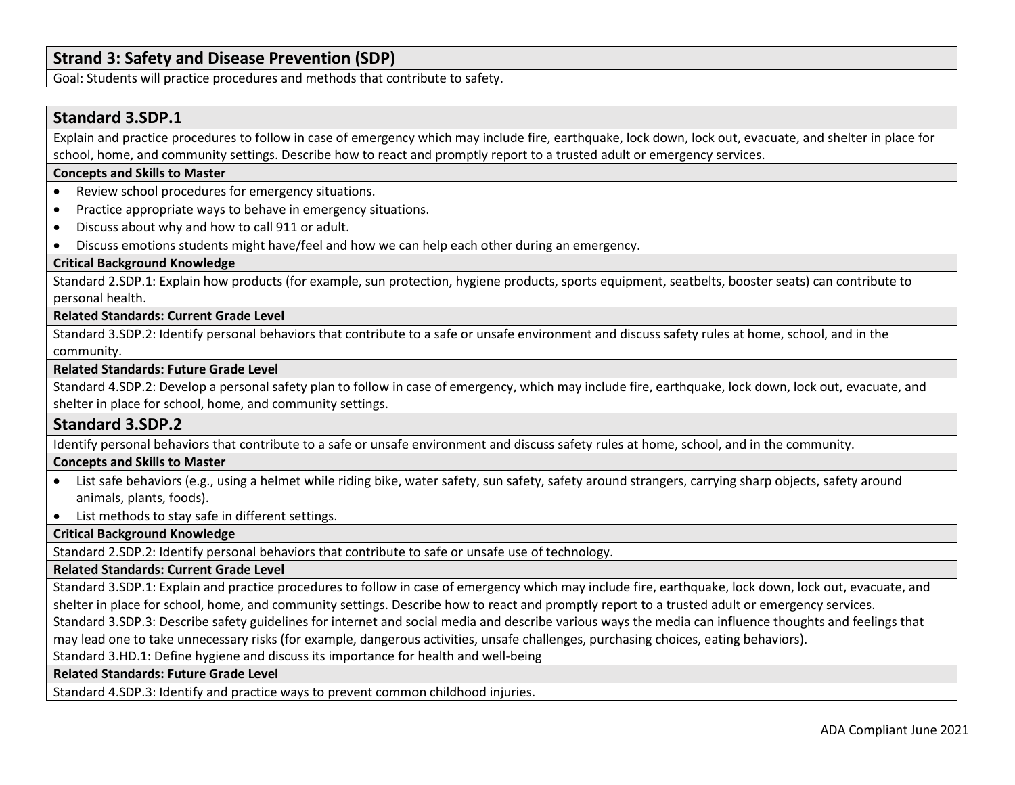# **Strand 3: Safety and Disease Prevention (SDP)**

Goal: Students will practice procedures and methods that contribute to safety.

# **Standard 3.SDP.1**

Explain and practice procedures to follow in case of emergency which may include fire, earthquake, lock down, lock out, evacuate, and shelter in place for school, home, and community settings. Describe how to react and promptly report to a trusted adult or emergency services.

### **Concepts and Skills to Master**

- Review school procedures for emergency situations.
- Practice appropriate ways to behave in emergency situations.
- Discuss about why and how to call 911 or adult.
- Discuss emotions students might have/feel and how we can help each other during an emergency.

# **Critical Background Knowledge**

Standard 2.SDP.1: Explain how products (for example, sun protection, hygiene products, sports equipment, seatbelts, booster seats) can contribute to personal health.

### **Related Standards: Current Grade Level**

Standard 3.SDP.2: Identify personal behaviors that contribute to a safe or unsafe environment and discuss safety rules at home, school, and in the community.

### **Related Standards: Future Grade Level**

Standard 4.SDP.2: Develop a personal safety plan to follow in case of emergency, which may include fire, earthquake, lock down, lock out, evacuate, and shelter in place for school, home, and community settings.

# **Standard 3.SDP.2**

Identify personal behaviors that contribute to a safe or unsafe environment and discuss safety rules at home, school, and in the community.

### **Concepts and Skills to Master**

- List safe behaviors (e.g., using a helmet while riding bike, water safety, sun safety, safety around strangers, carrying sharp objects, safety around animals, plants, foods).
- List methods to stay safe in different settings.

### **Critical Background Knowledge**

Standard 2.SDP.2: Identify personal behaviors that contribute to safe or unsafe use of technology.

### **Related Standards: Current Grade Level**

Standard 3.SDP.1: Explain and practice procedures to follow in case of emergency which may include fire, earthquake, lock down, lock out, evacuate, and shelter in place for school, home, and community settings. Describe how to react and promptly report to a trusted adult or emergency services.

Standard 3.SDP.3: Describe safety guidelines for internet and social media and describe various ways the media can influence thoughts and feelings that

may lead one to take unnecessary risks (for example, dangerous activities, unsafe challenges, purchasing choices, eating behaviors).

Standard 3.HD.1: Define hygiene and discuss its importance for health and well-being

### **Related Standards: Future Grade Level**

Standard 4.SDP.3: Identify and practice ways to prevent common childhood injuries.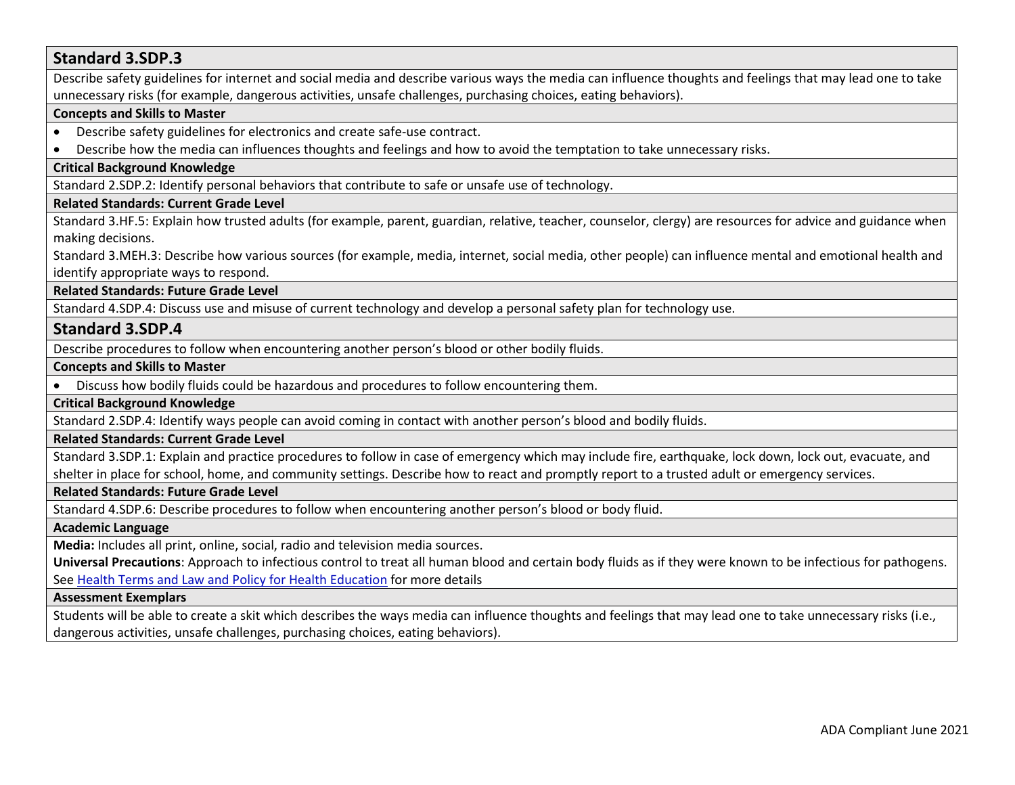# **Standard 3.SDP.3** Describe safety guidelines for internet and social media and describe various ways the media can influence thoughts and feelings that may lead one to take unnecessary risks (for example, dangerous activities, unsafe challenges, purchasing choices, eating behaviors). **Concepts and Skills to Master**  • Describe safety guidelines for electronics and create safe-use contract. • Describe how the media can influences thoughts and feelings and how to avoid the temptation to take unnecessary risks. **Critical Background Knowledge** Standard 2.SDP.2: Identify personal behaviors that contribute to safe or unsafe use of technology. **Related Standards: Current Grade Level** Standard 3.HF.5: Explain how trusted adults (for example, parent, guardian, relative, teacher, counselor, clergy) are resources for advice and guidance when making decisions. Standard 3.MEH.3: Describe how various sources (for example, media, internet, social media, other people) can influence mental and emotional health and identify appropriate ways to respond. **Related Standards: Future Grade Level**  Standard 4.SDP.4: Discuss use and misuse of current technology and develop a personal safety plan for technology use. **Standard 3.SDP.4** Describe procedures to follow when encountering another person's blood or other bodily fluids. **Concepts and Skills to Master**  • Discuss how bodily fluids could be hazardous and procedures to follow encountering them. **Critical Background Knowledge** Standard 2.SDP.4: Identify ways people can avoid coming in contact with another person's blood and bodily fluids. **Related Standards: Current Grade Level** Standard 3.SDP.1: Explain and practice procedures to follow in case of emergency which may include fire, earthquake, lock down, lock out, evacuate, and shelter in place for school, home, and community settings. Describe how to react and promptly report to a trusted adult or emergency services. **Related Standards: Future Grade Level**  Standard 4.SDP.6: Describe procedures to follow when encountering another person's blood or body fluid. **Academic Language Media:** Includes all print, online, social, radio and television media sources. **Universal Precautions**: Approach to infectious control to treat all human blood and certain body fluids as if they were known to be infectious for pathogens. See [Health Terms and Law and Policy for Health Education](https://schools.utah.gov/file/79acf6fe-5e26-4f46-9374-116b785e9147) for more details **Assessment Exemplars**  Students will be able to create a skit which describes the ways media can influence thoughts and feelings that may lead one to take unnecessary risks (i.e., dangerous activities, unsafe challenges, purchasing choices, eating behaviors).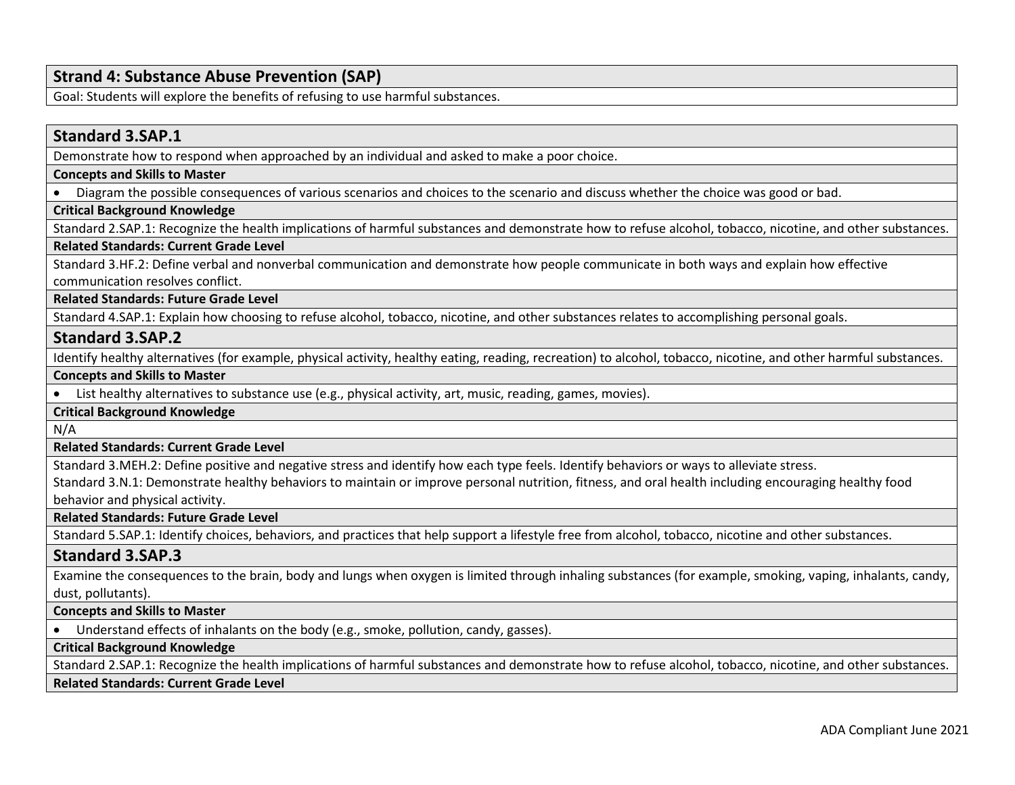# **Strand 4: Substance Abuse Prevention (SAP)**

Goal: Students will explore the benefits of refusing to use harmful substances.

# **Standard 3.SAP.1**

Demonstrate how to respond when approached by an individual and asked to make a poor choice.

#### **Concepts and Skills to Master**

• Diagram the possible consequences of various scenarios and choices to the scenario and discuss whether the choice was good or bad.

### **Critical Background Knowledge**

Standard 2.SAP.1: Recognize the health implications of harmful substances and demonstrate how to refuse alcohol, tobacco, nicotine, and other substances.

### **Related Standards: Current Grade Level**

Standard 3.HF.2: Define verbal and nonverbal communication and demonstrate how people communicate in both ways and explain how effective communication resolves conflict.

**Related Standards: Future Grade Level** 

Standard 4.SAP.1: Explain how choosing to refuse alcohol, tobacco, nicotine, and other substances relates to accomplishing personal goals.

### **Standard 3.SAP.2**

Identify healthy alternatives (for example, physical activity, healthy eating, reading, recreation) to alcohol, tobacco, nicotine, and other harmful substances. **Concepts and Skills to Master** 

• List healthy alternatives to substance use (e.g., physical activity, art, music, reading, games, movies).

**Critical Background Knowledge**

N/A

**Related Standards: Current Grade Level**

Standard 3.MEH.2: Define positive and negative stress and identify how each type feels. Identify behaviors or ways to alleviate stress.

Standard 3.N.1: Demonstrate healthy behaviors to maintain or improve personal nutrition, fitness, and oral health including encouraging healthy food behavior and physical activity.

**Related Standards: Future Grade Level** 

Standard 5.SAP.1: Identify choices, behaviors, and practices that help support a lifestyle free from alcohol, tobacco, nicotine and other substances.

### **Standard 3.SAP.3**

Examine the consequences to the brain, body and lungs when oxygen is limited through inhaling substances (for example, smoking, vaping, inhalants, candy, dust, pollutants).

### **Concepts and Skills to Master**

• Understand effects of inhalants on the body (e.g., smoke, pollution, candy, gasses).

### **Critical Background Knowledge**

Standard 2.SAP.1: Recognize the health implications of harmful substances and demonstrate how to refuse alcohol, tobacco, nicotine, and other substances.

### **Related Standards: Current Grade Level**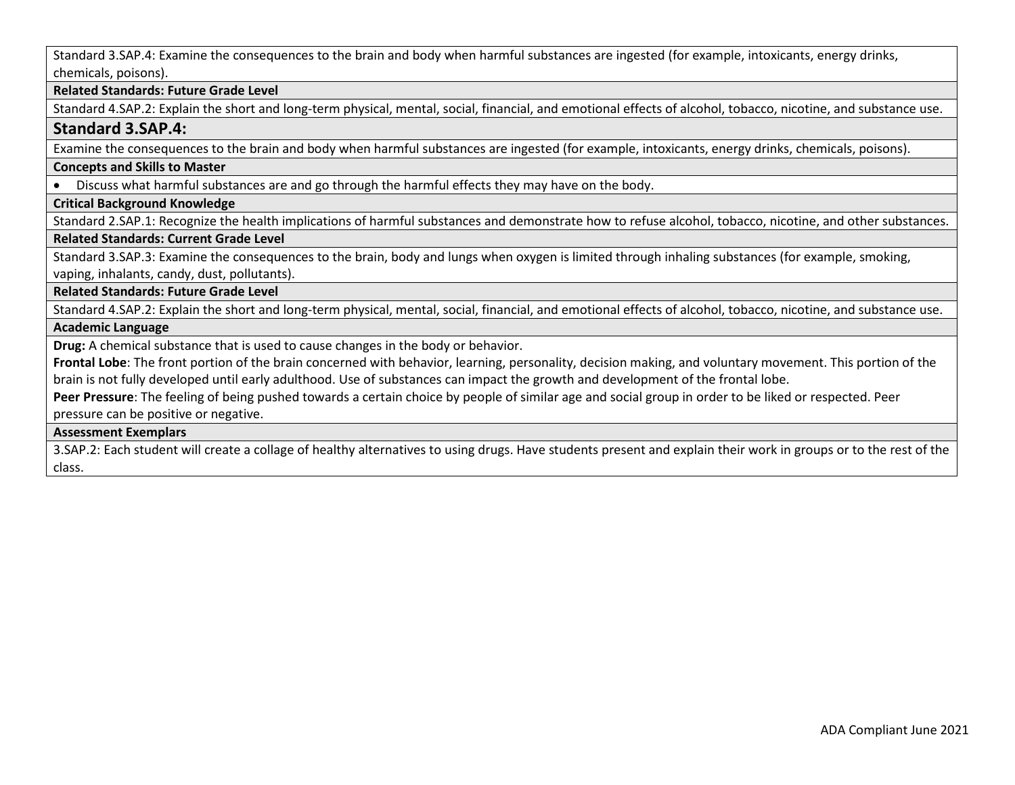Standard 3.SAP.4: Examine the consequences to the brain and body when harmful substances are ingested (for example, intoxicants, energy drinks, chemicals, poisons).

### **Related Standards: Future Grade Level**

Standard 4.SAP.2: Explain the short and long-term physical, mental, social, financial, and emotional effects of alcohol, tobacco, nicotine, and substance use.

# **Standard 3.SAP.4:**

Examine the consequences to the brain and body when harmful substances are ingested (for example, intoxicants, energy drinks, chemicals, poisons).

### **Concepts and Skills to Master**

• Discuss what harmful substances are and go through the harmful effects they may have on the body.

# **Critical Background Knowledge**

Standard 2.SAP.1: Recognize the health implications of harmful substances and demonstrate how to refuse alcohol, tobacco, nicotine, and other substances.

# **Related Standards: Current Grade Level**

Standard 3.SAP.3: Examine the consequences to the brain, body and lungs when oxygen is limited through inhaling substances (for example, smoking, vaping, inhalants, candy, dust, pollutants).

### **Related Standards: Future Grade Level**

Standard 4.SAP.2: Explain the short and long-term physical, mental, social, financial, and emotional effects of alcohol, tobacco, nicotine, and substance use. **Academic Language**

**Drug:** A chemical substance that is used to cause changes in the body or behavior.

**Frontal Lobe**: The front portion of the brain concerned with behavior, learning, personality, decision making, and voluntary movement. This portion of the brain is not fully developed until early adulthood. Use of substances can impact the growth and development of the frontal lobe.

**Peer Pressure**: The feeling of being pushed towards a certain choice by people of similar age and social group in order to be liked or respected. Peer pressure can be positive or negative.

### **Assessment Exemplars**

3.SAP.2: Each student will create a collage of healthy alternatives to using drugs. Have students present and explain their work in groups or to the rest of the class.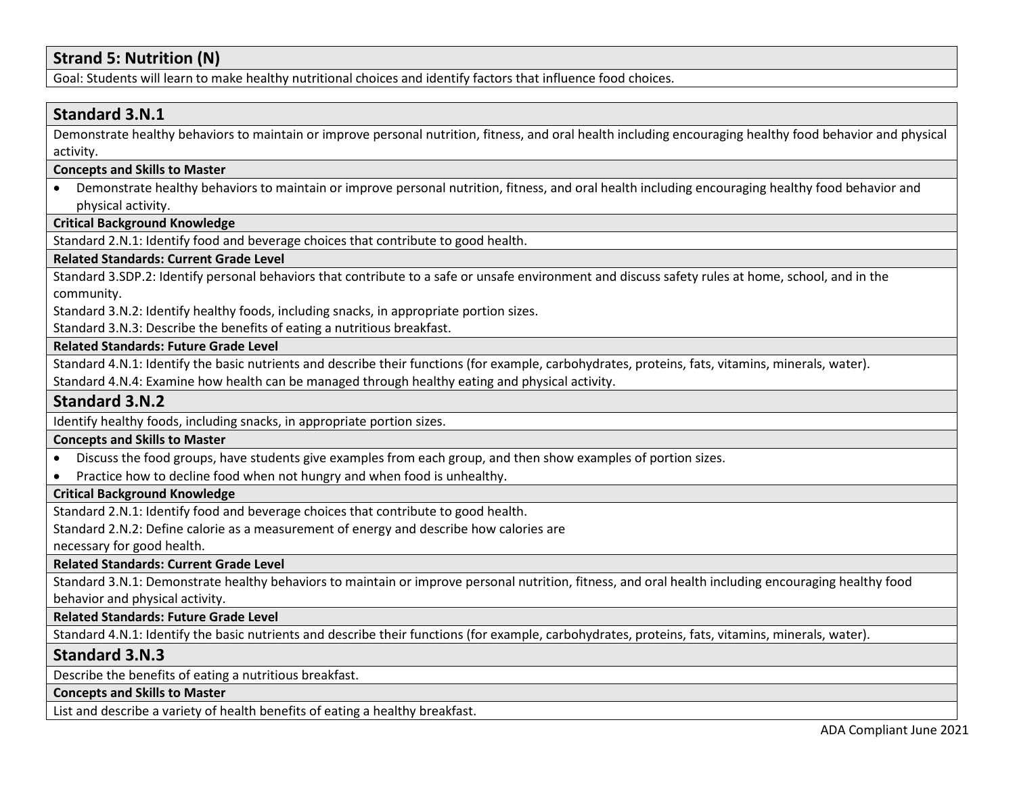# **Strand 5: Nutrition (N)**

Goal: Students will learn to make healthy nutritional choices and identify factors that influence food choices.

# **Standard 3.N.1**

Demonstrate healthy behaviors to maintain or improve personal nutrition, fitness, and oral health including encouraging healthy food behavior and physical activity.

### **Concepts and Skills to Master**

• Demonstrate healthy behaviors to maintain or improve personal nutrition, fitness, and oral health including encouraging healthy food behavior and physical activity.

### **Critical Background Knowledge**

Standard 2.N.1: Identify food and beverage choices that contribute to good health.

### **Related Standards: Current Grade Level**

Standard 3.SDP.2: Identify personal behaviors that contribute to a safe or unsafe environment and discuss safety rules at home, school, and in the community.

Standard 3.N.2: Identify healthy foods, including snacks, in appropriate portion sizes.

Standard 3.N.3: Describe the benefits of eating a nutritious breakfast.

### **Related Standards: Future Grade Level**

Standard 4.N.1: Identify the basic nutrients and describe their functions (for example, carbohydrates, proteins, fats, vitamins, minerals, water).

Standard 4.N.4: Examine how health can be managed through healthy eating and physical activity.

### **Standard 3.N.2**

Identify healthy foods, including snacks, in appropriate portion sizes.

### **Concepts and Skills to Master**

• Discuss the food groups, have students give examples from each group, and then show examples of portion sizes.

• Practice how to decline food when not hungry and when food is unhealthy.

# **Critical Background Knowledge**

Standard 2.N.1: Identify food and beverage choices that contribute to good health.

Standard 2.N.2: Define calorie as a measurement of energy and describe how calories are

necessary for good health.

**Related Standards: Current Grade Level**

Standard 3.N.1: Demonstrate healthy behaviors to maintain or improve personal nutrition, fitness, and oral health including encouraging healthy food behavior and physical activity.

### **Related Standards: Future Grade Level**

Standard 4.N.1: Identify the basic nutrients and describe their functions (for example, carbohydrates, proteins, fats, vitamins, minerals, water).

# **Standard 3.N.3**

Describe the benefits of eating a nutritious breakfast.

### **Concepts and Skills to Master**

List and describe a variety of health benefits of eating a healthy breakfast.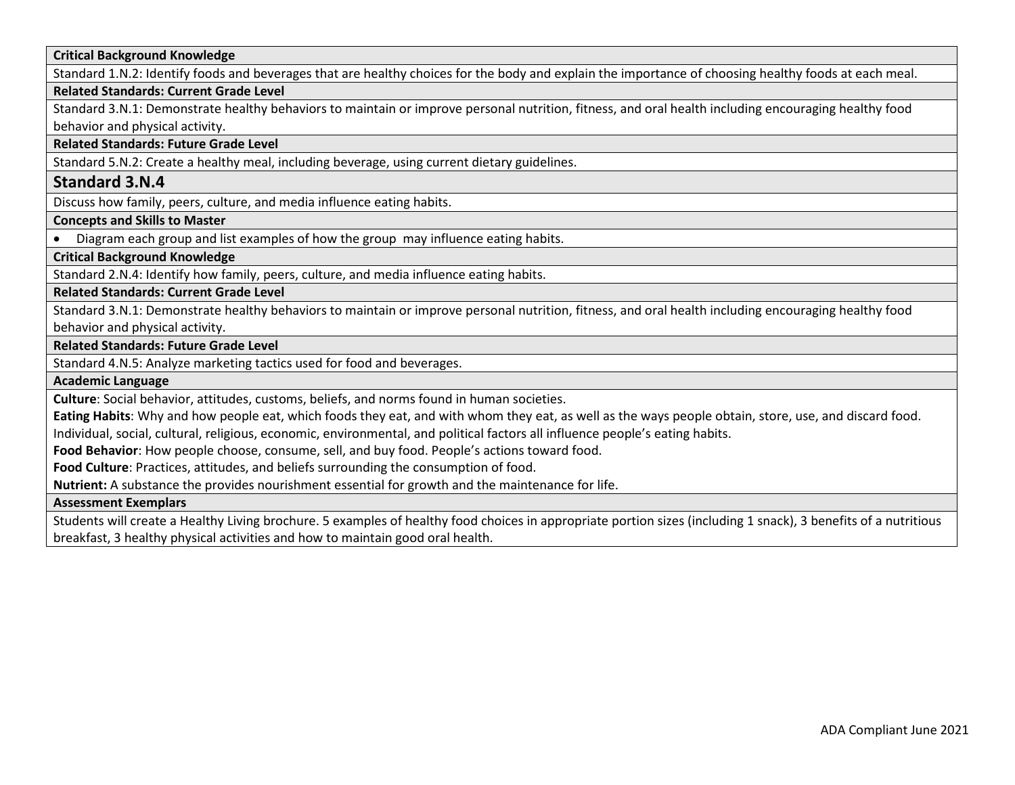### **Critical Background Knowledge**

Standard 1.N.2: Identify foods and beverages that are healthy choices for the body and explain the importance of choosing healthy foods at each meal.

### **Related Standards: Current Grade Level**

Standard 3.N.1: Demonstrate healthy behaviors to maintain or improve personal nutrition, fitness, and oral health including encouraging healthy food behavior and physical activity.

**Related Standards: Future Grade Level** 

Standard 5.N.2: Create a healthy meal, including beverage, using current dietary guidelines.

### **Standard 3.N.4**

Discuss how family, peers, culture, and media influence eating habits.

**Concepts and Skills to Master** 

• Diagram each group and list examples of how the group may influence eating habits.

**Critical Background Knowledge**

Standard 2.N.4: Identify how family, peers, culture, and media influence eating habits.

**Related Standards: Current Grade Level**

Standard 3.N.1: Demonstrate healthy behaviors to maintain or improve personal nutrition, fitness, and oral health including encouraging healthy food behavior and physical activity.

**Related Standards: Future Grade Level** 

Standard 4.N.5: Analyze marketing tactics used for food and beverages.

**Academic Language**

**Culture**: Social behavior, attitudes, customs, beliefs, and norms found in human societies.

**Eating Habits**: Why and how people eat, which foods they eat, and with whom they eat, as well as the ways people obtain, store, use, and discard food.

Individual, social, cultural, religious, economic, environmental, and political factors all influence people's eating habits.

**Food Behavior**: How people choose, consume, sell, and buy food. People's actions toward food.

**Food Culture**: Practices, attitudes, and beliefs surrounding the consumption of food.

**Nutrient:** A substance the provides nourishment essential for growth and the maintenance for life.

#### **Assessment Exemplars**

Students will create a Healthy Living brochure. 5 examples of healthy food choices in appropriate portion sizes (including 1 snack), 3 benefits of a nutritious breakfast, 3 healthy physical activities and how to maintain good oral health.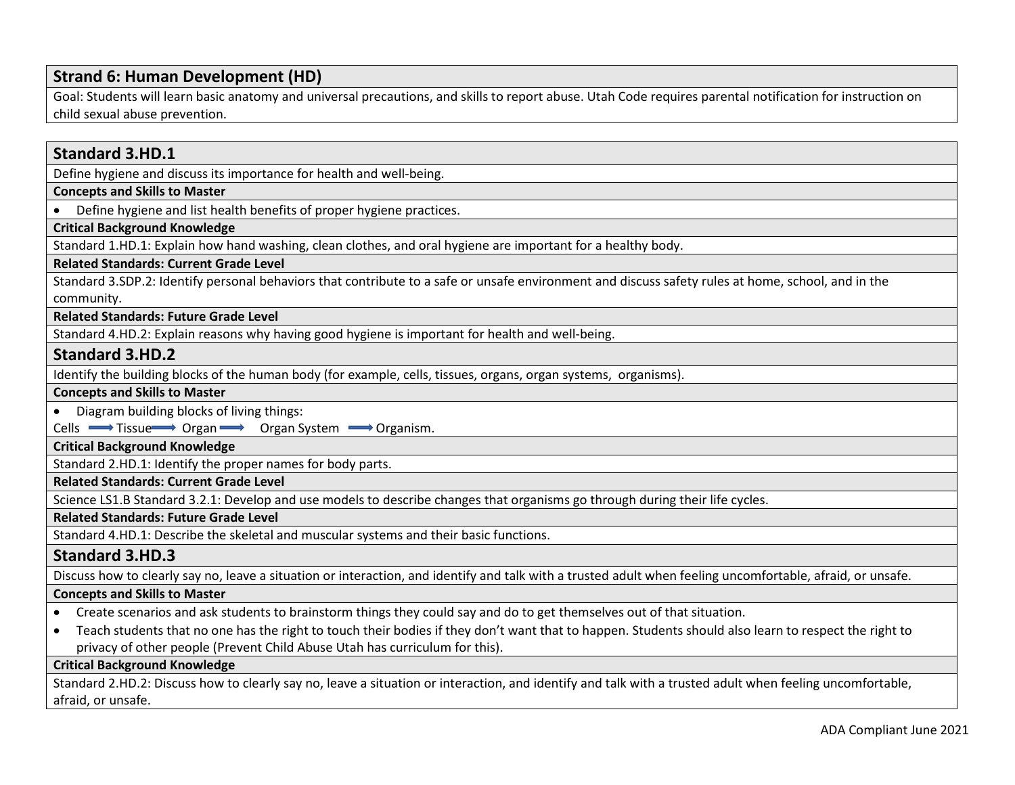# **Strand 6: Human Development (HD)**

Goal: Students will learn basic anatomy and universal precautions, and skills to report abuse. Utah Code requires parental notification for instruction on child sexual abuse prevention.

# **Standard 3.HD.1** Define hygiene and discuss its importance for health and well-being. **Concepts and Skills to Master**  • Define hygiene and list health benefits of proper hygiene practices. **Critical Background Knowledge** Standard 1.HD.1: Explain how hand washing, clean clothes, and oral hygiene are important for a healthy body. **Related Standards: Current Grade Level** Standard 3.SDP.2: Identify personal behaviors that contribute to a safe or unsafe environment and discuss safety rules at home, school, and in the community. **Related Standards: Future Grade Level**  Standard 4.HD.2: Explain reasons why having good hygiene is important for health and well-being. **Standard 3.HD.2** Identify the building blocks of the human body (for example, cells, tissues, organs, organ systems, organisms). **Concepts and Skills to Master**  • Diagram building blocks of living things: Cells  $\longrightarrow$  Tissue Organ  $\longrightarrow$  Organ System  $\longrightarrow$  Organism. **Critical Background Knowledge** Standard 2.HD.1: Identify the proper names for body parts. **Related Standards: Current Grade Level** Science LS1.B Standard 3.2.1: Develop and use models to describe changes that organisms go through during their life cycles. **Related Standards: Future Grade Level**  Standard 4.HD.1: Describe the skeletal and muscular systems and their basic functions. **Standard 3.HD.3** Discuss how to clearly say no, leave a situation or interaction, and identify and talk with a trusted adult when feeling uncomfortable, afraid, or unsafe. **Concepts and Skills to Master**  • Create scenarios and ask students to brainstorm things they could say and do to get themselves out of that situation. • Teach students that no one has the right to touch their bodies if they don't want that to happen. Students should also learn to respect the right to privacy of other people (Prevent Child Abuse Utah has curriculum for this). **Critical Background Knowledge** Standard 2.HD.2: Discuss how to clearly say no, leave a situation or interaction, and identify and talk with a trusted adult when feeling uncomfortable, afraid, or unsafe.